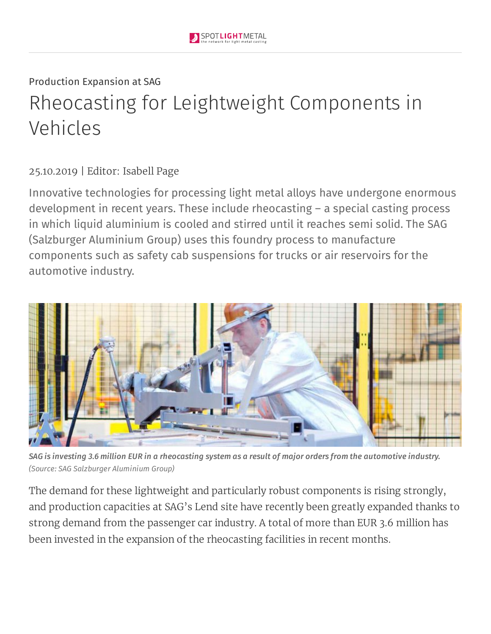# Production Expansion at SAG Rheocasting for Leightweight Components in Vehicles

#### 25.10.2019 | Editor: Isabell Page

Innovative technologies for processing light metal alloys have undergone enormous development in recent years. These include rheocasting – a special casting process in which liquid aluminium is cooled and stirred until it reaches semi solid. The SAG (Salzburger Aluminium Group) uses this foundry process to manufacture components such as safety cab suspensions for trucks or air reservoirs for the automotive industry.



SAG is investing 3.6 million EUR in a rheocasting system as a result of major orders from the automotive industry. *(Source: SAG Salzburger Aluminium Group)*

The demand for these lightweight and particularly robust components is rising strongly, and production capacities at SAG's Lend site have recently been greatly expanded thanks to strong demand from the passenger car industry. A total of more than EUR 3.6 million has been invested in the expansion of the rheocasting facilities in recent months.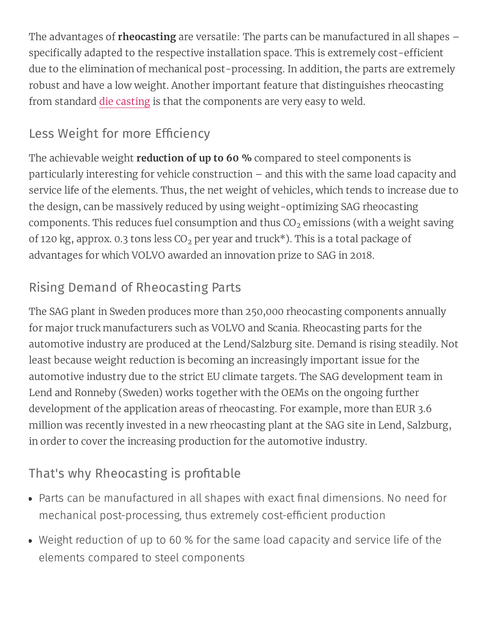The advantages of **rheocasting** are versatile: The parts can be manufactured in all shapes – specifically adapted to the respective installation space. This is extremely cost-efficient due to the elimination of mechanical post-processing. In addition, the parts are extremely robust and have a low weight. Another important feature that distinguishes rheocasting from standard die [casting](https://www.spotlightmetal.com/what-is-die-casting-development-processes-and-materials-in-die-casting-a-818604/) is that the components are very easy to weld.

## Less Weight for more Efficiency

The achievable weight **reduction of up to 60 %** compared to steel components is particularly interesting for vehicle construction – and this with the same load capacity and service life of the elements. Thus, the net weight of vehicles, which tends to increase due to the design, can be massively reduced by using weight-optimizing SAG rheocasting components. This reduces fuel consumption and thus CO $_2$  emissions (with a weight saving of 120 kg, approx. 0.3 tons less CO $_{\rm 2}$  per year and truck\*). This is a total package of advantages for which VOLVO awarded an innovation prize to SAG in 2018.

### Rising Demand of Rheocasting Parts

The SAG plant in Sweden produces more than 250,000 rheocasting components annually for major truck manufacturers such as VOLVO and Scania. Rheocasting parts for the automotive industry are produced at the Lend/Salzburg site. Demand is rising steadily. Not least because weight reduction is becoming an increasingly important issue for the automotive industry due to the strict EU climate targets. The SAG development team in Lend and Ronneby (Sweden) works together with the OEMs on the ongoing further development of the application areas of rheocasting. For example, more than EUR 3.6 million was recently invested in a new rheocasting plant at the SAG site in Lend, Salzburg, in order to cover the increasing production for the automotive industry.

#### That's why Rheocasting is profitable

- Parts can be manufactured in all shapes with exact final dimensions. No need for mechanical post-processing, thus extremely cost-efficient production
- Weight reduction of up to 60 % for the same load capacity and service life of the elements compared to steel components